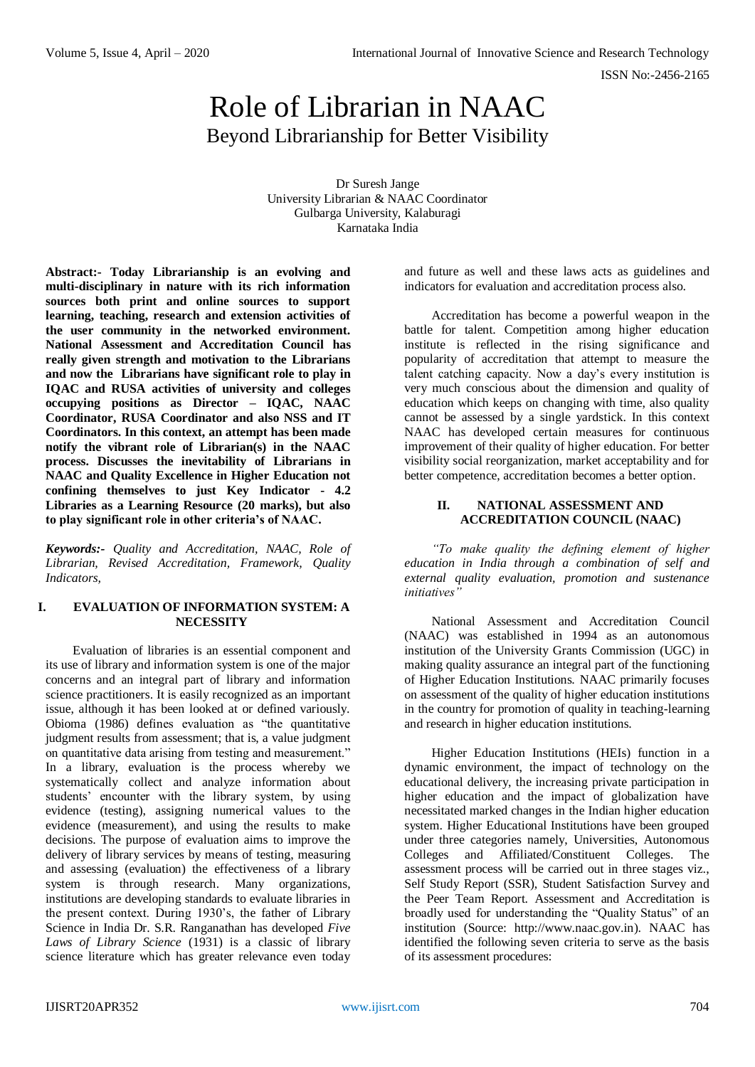# Role of Librarian in NAAC Beyond Librarianship for Better Visibility

Dr Suresh Jange University Librarian & NAAC Coordinator Gulbarga University, Kalaburagi Karnataka India

**Abstract:- Today Librarianship is an evolving and multi-disciplinary in nature with its rich information sources both print and online sources to support learning, teaching, research and extension activities of the user community in the networked environment. National Assessment and Accreditation Council has really given strength and motivation to the Librarians and now the Librarians have significant role to play in IQAC and RUSA activities of university and colleges occupying positions as Director – IQAC, NAAC Coordinator, RUSA Coordinator and also NSS and IT Coordinators. In this context, an attempt has been made notify the vibrant role of Librarian(s) in the NAAC process. Discusses the inevitability of Librarians in NAAC and Quality Excellence in Higher Education not confining themselves to just Key Indicator - 4.2 Libraries as a Learning Resource (20 marks), but also to play significant role in other criteria's of NAAC.**

*Keywords:- Quality and Accreditation, NAAC, Role of Librarian, Revised Accreditation, Framework, Quality Indicators,* 

### **I. EVALUATION OF INFORMATION SYSTEM: A NECESSITY**

Evaluation of libraries is an essential component and its use of library and information system is one of the major concerns and an integral part of library and information science practitioners. It is easily recognized as an important issue, although it has been looked at or defined variously. Obioma (1986) defines evaluation as "the quantitative judgment results from assessment; that is, a value judgment on quantitative data arising from testing and measurement." In a library, evaluation is the process whereby we systematically collect and analyze information about students' encounter with the library system, by using evidence (testing), assigning numerical values to the evidence (measurement), and using the results to make decisions. The purpose of evaluation aims to improve the delivery of library services by means of testing, measuring and assessing (evaluation) the effectiveness of a library system is through research. Many organizations, institutions are developing standards to evaluate libraries in the present context. During 1930's, the father of Library Science in India Dr. S.R. Ranganathan has developed *[Five](http://webology.ir/2004/v1n2/a8.html#18)  [Laws of Library Science](http://webology.ir/2004/v1n2/a8.html#18)* (1931) is a classic of library science literature which has greater relevance even today and future as well and these laws acts as guidelines and indicators for evaluation and accreditation process also.

Accreditation has become a powerful weapon in the battle for talent. Competition among higher education institute is reflected in the rising significance and popularity of accreditation that attempt to measure the talent catching capacity. Now a day's every institution is very much conscious about the dimension and quality of education which keeps on changing with time, also quality cannot be assessed by a single yardstick. In this context NAAC has developed certain measures for continuous improvement of their quality of higher education. For better visibility social reorganization, market acceptability and for better competence, accreditation becomes a better option.

### **II. NATIONAL ASSESSMENT AND ACCREDITATION COUNCIL (NAAC)**

*"To make quality the defining element of higher education in India through a combination of self and external quality evaluation, promotion and sustenance initiatives"*

National Assessment and Accreditation Council (NAAC) was established in 1994 as an autonomous institution of the University Grants Commission (UGC) in making quality assurance an integral part of the functioning of Higher Education Institutions. NAAC primarily focuses on assessment of the quality of higher education institutions in the country for promotion of quality in teaching-learning and research in higher education institutions.

Higher Education Institutions (HEIs) function in a dynamic environment, the impact of technology on the educational delivery, the increasing private participation in higher education and the impact of globalization have necessitated marked changes in the Indian higher education system. Higher Educational Institutions have been grouped under three categories namely, Universities, Autonomous<br>Colleges and Affiliated/Constituent Colleges. The Colleges and Affiliated/Constituent Colleges. assessment process will be carried out in three stages viz., Self Study Report (SSR), Student Satisfaction Survey and the Peer Team Report. Assessment and Accreditation is broadly used for understanding the "Quality Status" of an institution (Source: [http://www.naac.gov.in\)](http://www.naac.gov.in/). NAAC has identified the following seven criteria to serve as the basis of its assessment procedures: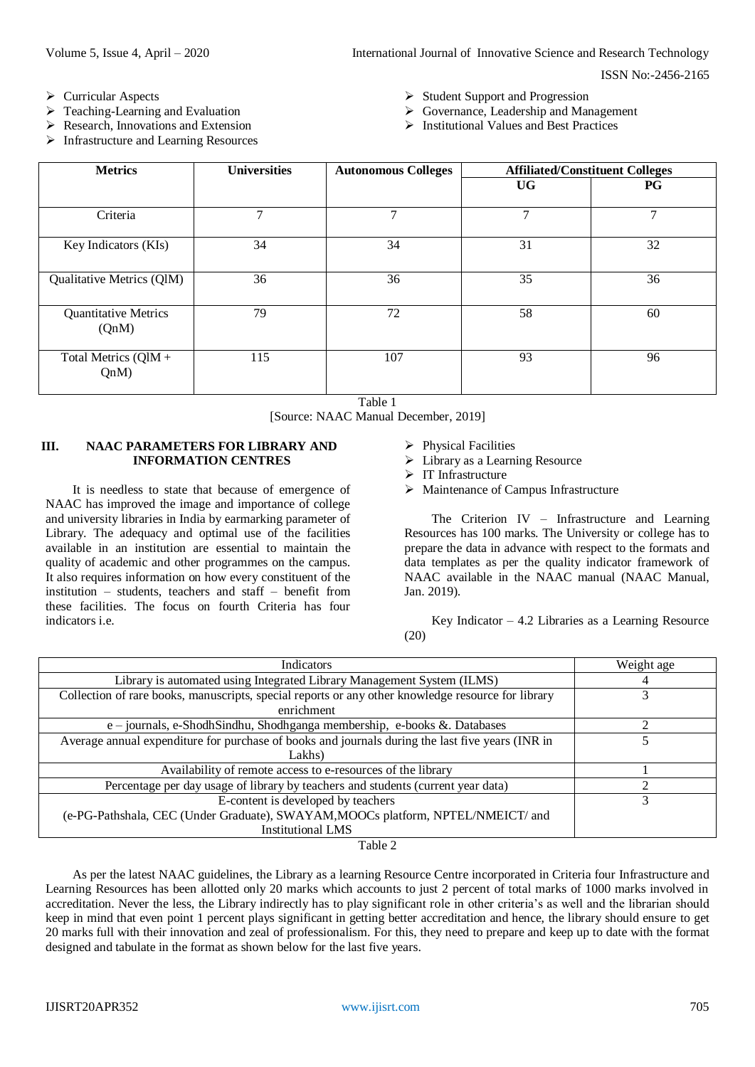- $\triangleright$  Curricular Aspects
- $\triangleright$  Teaching-Learning and Evaluation
- $\triangleright$  Research, Innovations and Extension
- Infrastructure and Learning Resources
- $\triangleright$  Student Support and Progression
- Governance, Leadership and Management
- $\triangleright$  Institutional Values and Best Practices

| <b>Metrics</b>                       | <b>Universities</b> | <b>Autonomous Colleges</b> | <b>Affiliated/Constituent Colleges</b> |    |
|--------------------------------------|---------------------|----------------------------|----------------------------------------|----|
|                                      |                     |                            | <b>UG</b>                              | PG |
| Criteria                             | 7                   | 7                          | 7                                      | 7  |
| Key Indicators (KIs)                 | 34                  | 34                         | 31                                     | 32 |
| Qualitative Metrics (QlM)            | 36                  | 36                         | 35                                     | 36 |
| <b>Quantitative Metrics</b><br>(QnM) | 79                  | 72                         | 58                                     | 60 |
| Total Metrics (QlM +<br>QnM          | 115                 | 107                        | 93                                     | 96 |

Table 1

[Source: NAAC Manual December, 2019]

### **III. NAAC PARAMETERS FOR LIBRARY AND INFORMATION CENTRES**

It is needless to state that because of emergence of NAAC has improved the image and importance of college and university libraries in India by earmarking parameter of Library. The adequacy and optimal use of the facilities available in an institution are essential to maintain the quality of academic and other programmes on the campus. It also requires information on how every constituent of the institution – students, teachers and staff – benefit from these facilities. The focus on fourth Criteria has four indicators i.e.

- $\triangleright$  Physical Facilities
- Library as a Learning Resource
- $\triangleright$  IT Infrastructure
- > Maintenance of Campus Infrastructure

The Criterion IV – Infrastructure and Learning Resources has 100 marks. The University or college has to prepare the data in advance with respect to the formats and data templates as per the quality indicator framework of NAAC available in the NAAC manual (NAAC Manual, Jan. 2019).

Key Indicator  $-4.2$  Libraries as a Learning Resource (20)

| Indicators                                                                                         | Weight age |
|----------------------------------------------------------------------------------------------------|------------|
| Library is automated using Integrated Library Management System (ILMS)                             |            |
| Collection of rare books, manuscripts, special reports or any other knowledge resource for library |            |
| enrichment                                                                                         |            |
| e – journals, e-ShodhSindhu, Shodhganga membership, e-books & Databases                            |            |
| Average annual expenditure for purchase of books and journals during the last five years (INR in   |            |
| Lakhs)                                                                                             |            |
| Availability of remote access to e-resources of the library                                        |            |
| Percentage per day usage of library by teachers and students (current year data)                   |            |
| E-content is developed by teachers                                                                 |            |
| (e-PG-Pathshala, CEC (Under Graduate), SWAYAM, MOOCs platform, NPTEL/NMEICT/ and                   |            |
| <b>Institutional LMS</b>                                                                           |            |
| $T_0$ <sub>b</sub> $\alpha$                                                                        |            |

Table 2

As per the latest NAAC guidelines, the Library as a learning Resource Centre incorporated in Criteria four Infrastructure and Learning Resources has been allotted only 20 marks which accounts to just 2 percent of total marks of 1000 marks involved in accreditation. Never the less, the Library indirectly has to play significant role in other criteria's as well and the librarian should keep in mind that even point 1 percent plays significant in getting better accreditation and hence, the library should ensure to get 20 marks full with their innovation and zeal of professionalism. For this, they need to prepare and keep up to date with the format designed and tabulate in the format as shown below for the last five years.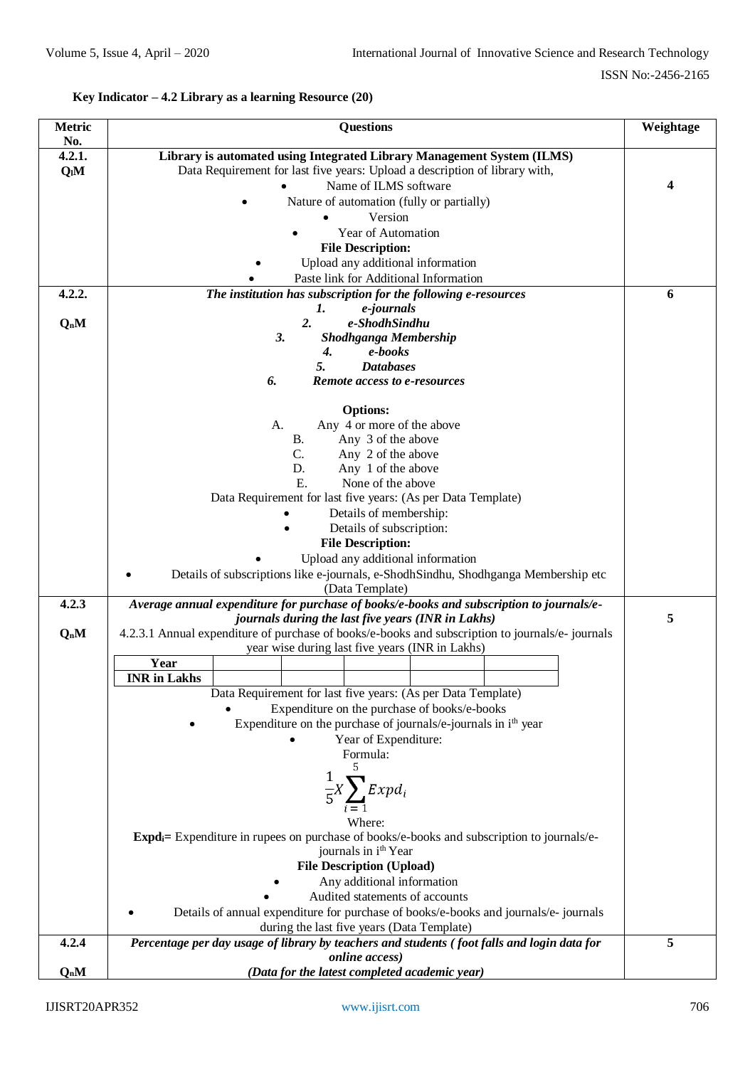# **Key Indicator – 4.2 Library as a learning Resource (20)**

| Metric           | <b>Questions</b>                                                                                  | Weightage |  |  |  |
|------------------|---------------------------------------------------------------------------------------------------|-----------|--|--|--|
| No.              |                                                                                                   |           |  |  |  |
| 4.2.1.           | Library is automated using Integrated Library Management System (ILMS)                            |           |  |  |  |
| Q <sub>l</sub> M | Data Requirement for last five years: Upload a description of library with,                       |           |  |  |  |
|                  | Name of ILMS software                                                                             | 4         |  |  |  |
|                  | Nature of automation (fully or partially)                                                         |           |  |  |  |
|                  | Version                                                                                           |           |  |  |  |
|                  | Year of Automation                                                                                |           |  |  |  |
|                  | <b>File Description:</b>                                                                          |           |  |  |  |
|                  | Upload any additional information                                                                 |           |  |  |  |
|                  | Paste link for Additional Information                                                             |           |  |  |  |
| 4.2.2.           | The institution has subscription for the following e-resources                                    | 6         |  |  |  |
|                  | e-journals<br>1.                                                                                  |           |  |  |  |
| $Q_nM$           | $\overline{2}$ .<br>e-ShodhSindhu                                                                 |           |  |  |  |
|                  | 3.<br>Shodhganga Membership                                                                       |           |  |  |  |
|                  | e-books<br>4.<br>5.                                                                               |           |  |  |  |
|                  | <b>Databases</b><br>6.<br>Remote access to e-resources                                            |           |  |  |  |
|                  |                                                                                                   |           |  |  |  |
|                  | <b>Options:</b>                                                                                   |           |  |  |  |
|                  | Any 4 or more of the above<br>A.                                                                  |           |  |  |  |
|                  | Any 3 of the above<br>B.                                                                          |           |  |  |  |
|                  | $C_{\cdot}$<br>Any 2 of the above                                                                 |           |  |  |  |
|                  | D.<br>Any 1 of the above                                                                          |           |  |  |  |
|                  | E.<br>None of the above                                                                           |           |  |  |  |
|                  | Data Requirement for last five years: (As per Data Template)                                      |           |  |  |  |
|                  | Details of membership:                                                                            |           |  |  |  |
|                  | Details of subscription:                                                                          |           |  |  |  |
|                  | <b>File Description:</b>                                                                          |           |  |  |  |
|                  | Upload any additional information                                                                 |           |  |  |  |
|                  | Details of subscriptions like e-journals, e-ShodhSindhu, Shodhganga Membership etc                |           |  |  |  |
|                  | (Data Template)                                                                                   |           |  |  |  |
| 4.2.3            | Average annual expenditure for purchase of books/e-books and subscription to journals/e-          |           |  |  |  |
|                  | journals during the last five years (INR in Lakhs)                                                | 5         |  |  |  |
| $Q_nM$           | 4.2.3.1 Annual expenditure of purchase of books/e-books and subscription to journals/e-journals   |           |  |  |  |
|                  | year wise during last five years (INR in Lakhs)                                                   |           |  |  |  |
|                  | Year                                                                                              |           |  |  |  |
|                  | <b>INR</b> in Lakhs                                                                               |           |  |  |  |
|                  | Data Requirement for last five years: (As per Data Template)                                      |           |  |  |  |
|                  | Expenditure on the purchase of books/e-books                                                      |           |  |  |  |
|                  | Expenditure on the purchase of journals/e-journals in i <sup>th</sup> year                        |           |  |  |  |
|                  | Year of Expenditure:                                                                              |           |  |  |  |
|                  | Formula:<br>5                                                                                     |           |  |  |  |
|                  |                                                                                                   |           |  |  |  |
|                  | $\frac{1}{5}X\sum_{i=1}^{5}Expd_i$                                                                |           |  |  |  |
|                  |                                                                                                   |           |  |  |  |
|                  | Where:                                                                                            |           |  |  |  |
|                  | <b>Expedi-</b> Expenditure in rupees on purchase of books/e-books and subscription to journals/e- |           |  |  |  |
|                  | journals in i <sup>th</sup> Year                                                                  |           |  |  |  |
|                  | <b>File Description (Upload)</b>                                                                  |           |  |  |  |
|                  | Any additional information                                                                        |           |  |  |  |
|                  | Audited statements of accounts                                                                    |           |  |  |  |
|                  | Details of annual expenditure for purchase of books/e-books and journals/e- journals              |           |  |  |  |
|                  | during the last five years (Data Template)                                                        |           |  |  |  |
| 4.2.4            | Percentage per day usage of library by teachers and students (foot falls and login data for       | 5         |  |  |  |
|                  | online access)                                                                                    |           |  |  |  |
| $Q_nM$           | (Data for the latest completed academic year)                                                     |           |  |  |  |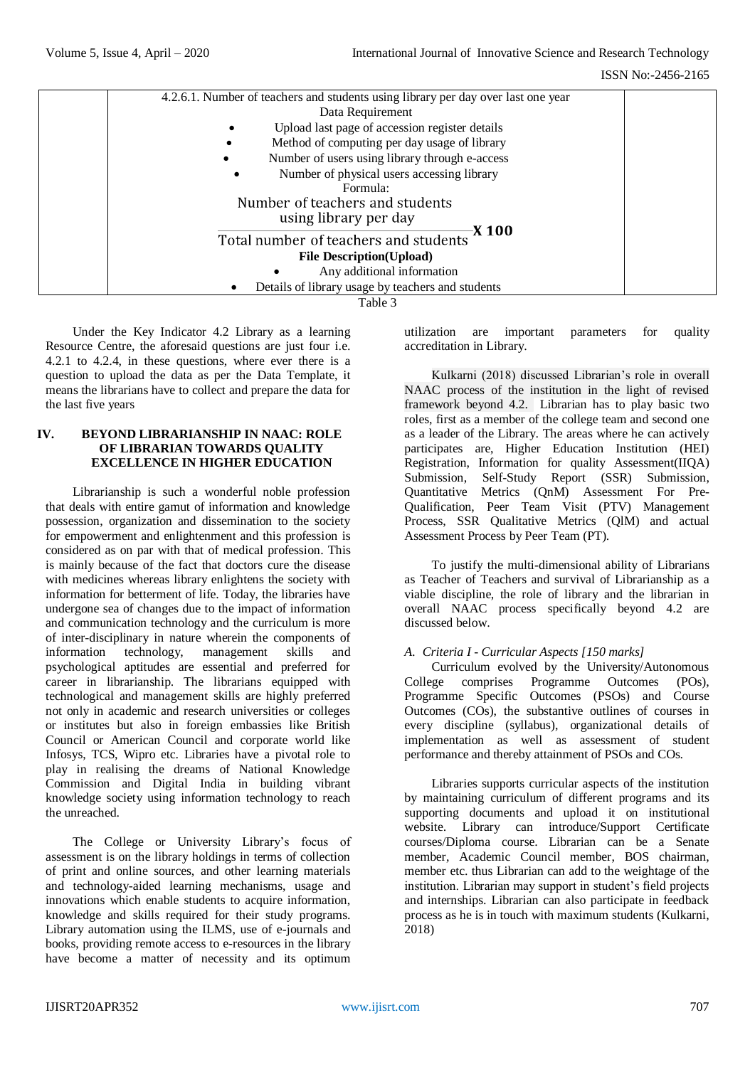| 4.2.6.1. Number of teachers and students using library per day over last one year |  |  |  |
|-----------------------------------------------------------------------------------|--|--|--|
| Data Requirement                                                                  |  |  |  |
| Upload last page of accession register details<br>٠                               |  |  |  |
| Method of computing per day usage of library                                      |  |  |  |
| Number of users using library through e-access<br>$\bullet$                       |  |  |  |
| Number of physical users accessing library                                        |  |  |  |
| Formula:                                                                          |  |  |  |
| Number of teachers and students                                                   |  |  |  |
| using library per day                                                             |  |  |  |
| -X 100<br>Total number of teachers and students                                   |  |  |  |
|                                                                                   |  |  |  |
| <b>File Description</b> (Upload)                                                  |  |  |  |
| Any additional information                                                        |  |  |  |
| Details of library usage by teachers and students<br>٠                            |  |  |  |
| Table 3                                                                           |  |  |  |

Under the Key Indicator 4.2 Library as a learning Resource Centre, the aforesaid questions are just four i.e. 4.2.1 to 4.2.4, in these questions, where ever there is a question to upload the data as per the Data Template, it means the librarians have to collect and prepare the data for the last five years

#### **IV. BEYOND LIBRARIANSHIP IN NAAC: ROLE OF LIBRARIAN TOWARDS QUALITY EXCELLENCE IN HIGHER EDUCATION**

Librarianship is such a wonderful noble profession that deals with entire gamut of information and knowledge possession, organization and dissemination to the society for empowerment and enlightenment and this profession is considered as on par with that of medical profession. This is mainly because of the fact that doctors cure the disease with medicines whereas library enlightens the society with information for betterment of life. Today, the libraries have undergone sea of changes due to the impact of information and communication technology and the curriculum is more of inter-disciplinary in nature wherein the components of information technology, management skills and psychological aptitudes are essential and preferred for career in librarianship. The librarians equipped with technological and management skills are highly preferred not only in academic and research universities or colleges or institutes but also in foreign embassies like British Council or American Council and corporate world like Infosys, TCS, Wipro etc. Libraries have a pivotal role to play in realising the dreams of National Knowledge Commission and Digital India in building vibrant knowledge society using information technology to reach the unreached.

The College or University Library's focus of assessment is on the library holdings in terms of collection of print and online sources, and other learning materials and technology-aided learning mechanisms, usage and innovations which enable students to acquire information, knowledge and skills required for their study programs. Library automation using the ILMS, use of e-journals and books, providing remote access to e-resources in the library have become a matter of necessity and its optimum utilization are important parameters for quality accreditation in Library.

Kulkarni (2018) discussed Librarian's role in overall NAAC process of the institution in the light of revised framework beyond 4.2. Librarian has to play basic two roles, first as a member of the college team and second one as a leader of the Library. The areas where he can actively participates are, Higher Education Institution (HEI) Registration, Information for quality Assessment(IIQA) Submission, Self-Study Report (SSR) Submission, Quantitative Metrics (QnM) Assessment For Pre-Qualification, Peer Team Visit (PTV) Management Process, SSR Qualitative Metrics (QlM) and actual Assessment Process by Peer Team (PT).

To justify the multi-dimensional ability of Librarians as Teacher of Teachers and survival of Librarianship as a viable discipline, the role of library and the librarian in overall NAAC process specifically beyond 4.2 are discussed below.

#### *A. Criteria I - Curricular Aspects [150 marks]*

Curriculum evolved by the University/Autonomous College comprises Programme Outcomes (POs), Programme Specific Outcomes (PSOs) and Course Outcomes (COs), the substantive outlines of courses in every discipline (syllabus), organizational details of implementation as well as assessment of student performance and thereby attainment of PSOs and COs.

Libraries supports curricular aspects of the institution by maintaining curriculum of different programs and its supporting documents and upload it on institutional website. Library can introduce/Support Certificate courses/Diploma course. Librarian can be a Senate member, Academic Council member, BOS chairman, member etc. thus Librarian can add to the weightage of the institution. Librarian may support in student's field projects and internships. Librarian can also participate in feedback process as he is in touch with maximum students (Kulkarni, 2018)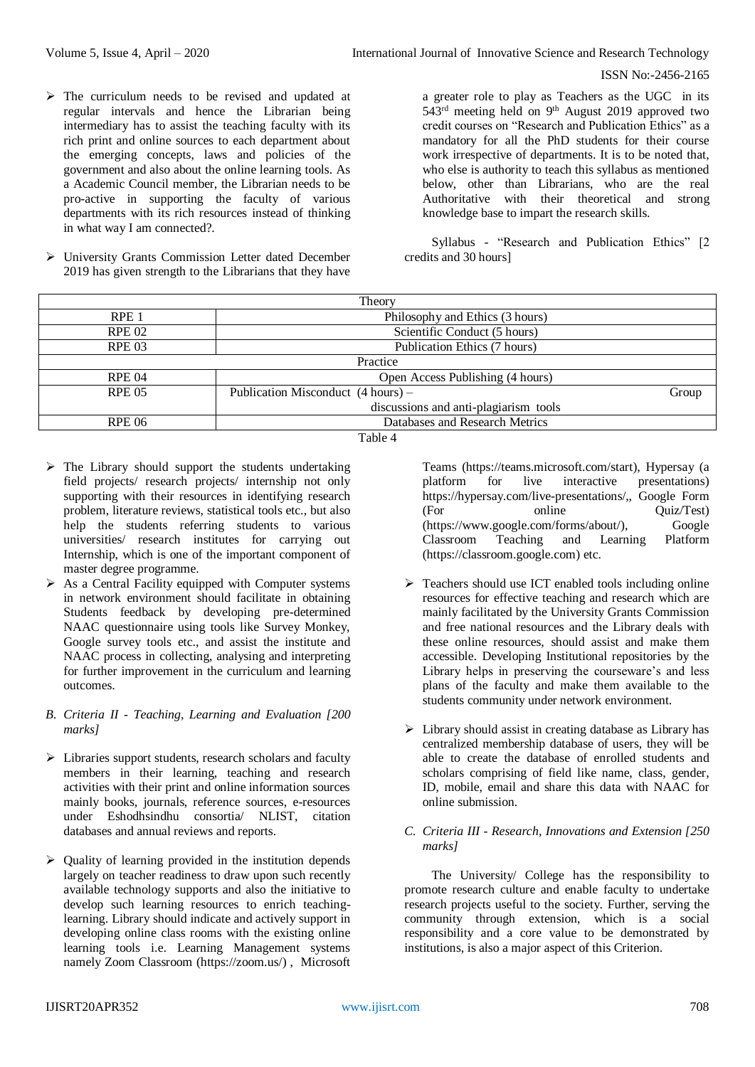- $\triangleright$  The curriculum needs to be revised and updated at regular intervals and hence the Librarian being intermediary has to assist the teaching faculty with its rich print and online sources to each department about the emerging concepts, laws and policies of the government and also about the online learning tools. As a Academic Council member, the Librarian needs to be pro-active in supporting the faculty of various departments with its rich resources instead of thinking in what way I am connected?.
- University Grants Commission Letter dated December 2019 has given strength to the Librarians that they have

a greater role to play as Teachers as the UGC in its 543<sup>rd</sup> meeting held on 9<sup>th</sup> August 2019 approved two credit courses on "Research and Publication Ethics" as a mandatory for all the PhD students for their course work irrespective of departments. It is to be noted that, who else is authority to teach this syllabus as mentioned below, other than Librarians, who are the real Authoritative with their theoretical and strong knowledge base to impart the research skills.

Syllabus - "Research and Publication Ethics" [2 credits and 30 hours]

| Theory            |                                       |       |  |  |
|-------------------|---------------------------------------|-------|--|--|
| RPE <sub>1</sub>  | Philosophy and Ethics (3 hours)       |       |  |  |
| <b>RPE 02</b>     | Scientific Conduct (5 hours)          |       |  |  |
| RPE <sub>03</sub> | Publication Ethics (7 hours)          |       |  |  |
| Practice          |                                       |       |  |  |
| <b>RPE 04</b>     | Open Access Publishing (4 hours)      |       |  |  |
| <b>RPE 05</b>     | Publication Misconduct (4 hours) –    | Group |  |  |
|                   | discussions and anti-plagiarism tools |       |  |  |
| <b>RPE 06</b>     | Databases and Research Metrics        |       |  |  |
| Table $\Lambda$   |                                       |       |  |  |

Table 4

- $\triangleright$  The Library should support the students undertaking field projects/ research projects/ internship not only supporting with their resources in identifying research problem, literature reviews, statistical tools etc., but also help the students referring students to various universities/ research institutes for carrying out Internship, which is one of the important component of master degree programme.
- $\triangleright$  As a Central Facility equipped with Computer systems in network environment should facilitate in obtaining Students feedback by developing pre-determined NAAC questionnaire using tools like Survey Monkey, Google survey tools etc., and assist the institute and NAAC process in collecting, analysing and interpreting for further improvement in the curriculum and learning outcomes.
- *B. Criteria II - Teaching, Learning and Evaluation [200 marks]*
- $\triangleright$  Libraries support students, research scholars and faculty members in their learning, teaching and research activities with their print and online information sources mainly books, journals, reference sources, e-resources under Eshodhsindhu consortia/ NLIST, citation databases and annual reviews and reports.
- $\triangleright$  Quality of learning provided in the institution depends largely on teacher readiness to draw upon such recently available technology supports and also the initiative to develop such learning resources to enrich teachinglearning. Library should indicate and actively support in developing online class rooms with the existing online learning tools i.e. Learning Management systems namely Zoom Classroom [\(https://zoom.us/\)](https://zoom.us/) , Microsoft

Teams [\(https://teams.microsoft.com/start\)](https://teams.microsoft.com/start), Hypersay (a platform for live interactive presentations) [https://hypersay.com/live-presentations/,](https://hypersay.com/live-presentations/), Google Form (For online Quiz/Test) [\(https://www.google.com/forms/about/\)](https://www.google.com/forms/about/), Google Classroom Teaching and Learning Platform [\(https://classroom.google.com\)](https://classroom.google.com/) etc.

- $\triangleright$  Teachers should use ICT enabled tools including online resources for effective teaching and research which are mainly facilitated by the University Grants Commission and free national resources and the Library deals with these online resources, should assist and make them accessible. Developing Institutional repositories by the Library helps in preserving the courseware's and less plans of the faculty and make them available to the students community under network environment.
- $\triangleright$  Library should assist in creating database as Library has centralized membership database of users, they will be able to create the database of enrolled students and scholars comprising of field like name, class, gender, ID, mobile, email and share this data with NAAC for online submission.

# *C. Criteria III - Research, Innovations and Extension [250 marks]*

The University/ College has the responsibility to promote research culture and enable faculty to undertake research projects useful to the society. Further, serving the community through extension, which is a social responsibility and a core value to be demonstrated by institutions, is also a major aspect of this Criterion.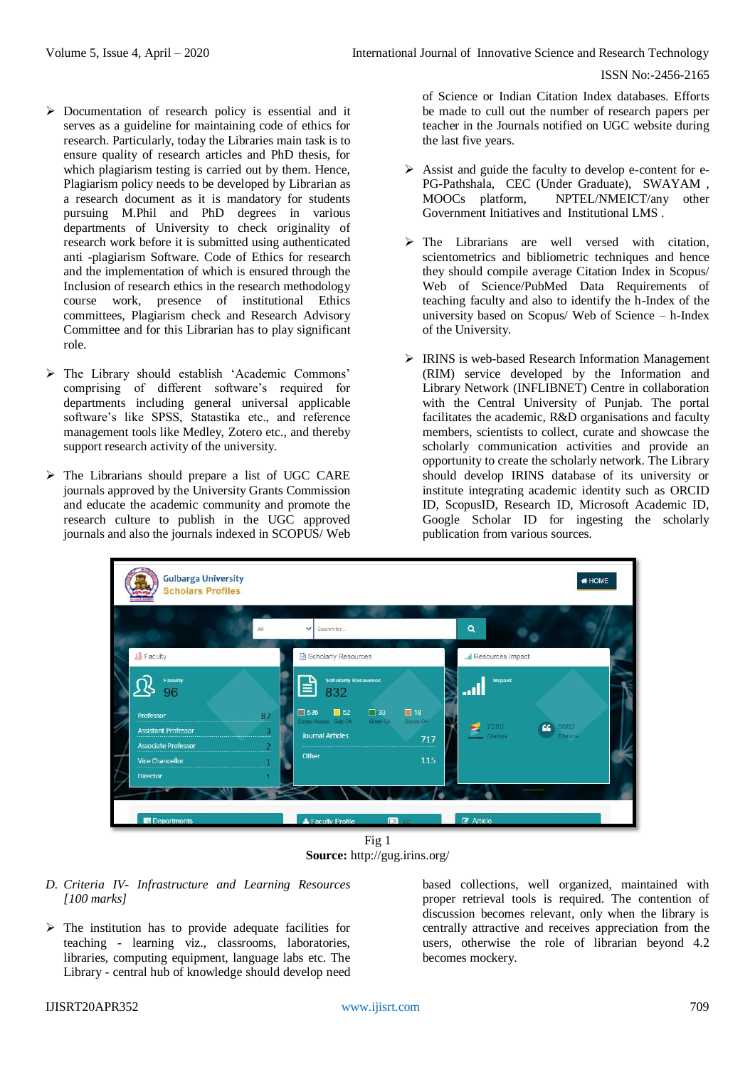- $\triangleright$  Documentation of research policy is essential and it serves as a guideline for maintaining code of ethics for research. Particularly, today the Libraries main task is to ensure quality of research articles and PhD thesis, for which plagiarism testing is carried out by them. Hence, Plagiarism policy needs to be developed by Librarian as a research document as it is mandatory for students pursuing M.Phil and PhD degrees in various departments of University to check originality of research work before it is submitted using authenticated anti -plagiarism Software. Code of Ethics for research and the implementation of which is ensured through the Inclusion of research ethics in the research methodology course work, presence of institutional Ethics committees, Plagiarism check and Research Advisory Committee and for this Librarian has to play significant role.
- The Library should establish 'Academic Commons' comprising of different software's required for departments including general universal applicable software's like SPSS, Statastika etc., and reference management tools like Medley, Zotero etc., and thereby support research activity of the university.
- $\triangleright$  The Librarians should prepare a list of UGC CARE journals approved by the University Grants Commission and educate the academic community and promote the research culture to publish in the UGC approved journals and also the journals indexed in SCOPUS/ Web

of Science or Indian Citation Index databases. Efforts be made to cull out the number of research papers per teacher in the Journals notified on UGC website during the last five years.

- $\triangleright$  Assist and guide the faculty to develop e-content for e-PG-Pathshala, CEC (Under Graduate), SWAYAM , MOOCs platform, NPTEL/NMEICT/any other Government Initiatives and Institutional LMS .
- $\triangleright$  The Librarians are well versed with citation, scientometrics and bibliometric techniques and hence they should compile average Citation Index in Scopus/ Web of Science/PubMed Data Requirements of teaching faculty and also to identify the h-Index of the university based on Scopus/ Web of Science – h-Index of the University.
- IRINS is web-based Research Information Management (RIM) service developed by the Information and Library Network (INFLIBNET) Centre in collaboration with the Central University of Punjab. The portal facilitates the academic, R&D organisations and faculty members, scientists to collect, curate and showcase the scholarly communication activities and provide an opportunity to create the scholarly network. The Library should develop IRINS database of its university or institute integrating academic identity such as ORCID ID, ScopusID, Research ID, Microsoft Academic ID, Google Scholar ID for ingesting the scholarly publication from various sources.



**Source:** <http://gug.irins.org/>

- *D. Criteria IV- Infrastructure and Learning Resources [100 marks]*
- $\triangleright$  The institution has to provide adequate facilities for teaching - learning viz., classrooms, laboratories, libraries, computing equipment, language labs etc. The Library - central hub of knowledge should develop need

based collections, well organized, maintained with proper retrieval tools is required. The contention of discussion becomes relevant, only when the library is centrally attractive and receives appreciation from the users, otherwise the role of librarian beyond 4.2 becomes mockery.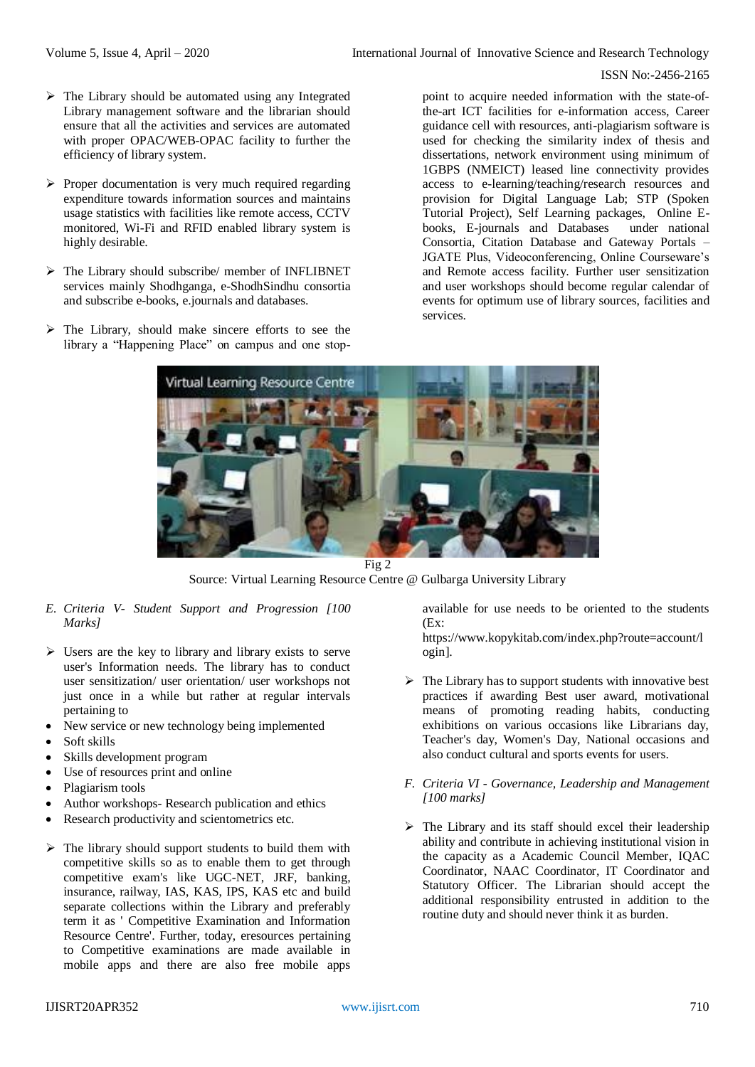- $\triangleright$  The Library should be automated using any Integrated Library management software and the librarian should ensure that all the activities and services are automated with proper OPAC/WEB-OPAC facility to further the efficiency of library system.
- $\triangleright$  Proper documentation is very much required regarding expenditure towards information sources and maintains usage statistics with facilities like remote access, CCTV monitored, Wi-Fi and RFID enabled library system is highly desirable.
- $\triangleright$  The Library should subscribe/ member of INFLIBNET services mainly Shodhganga, e-ShodhSindhu consortia and subscribe e-books, e.journals and databases.
- $\triangleright$  The Library, should make sincere efforts to see the library a "Happening Place" on campus and one stop-

point to acquire needed information with the state-ofthe-art ICT facilities for e-information access, Career guidance cell with resources, anti-plagiarism software is used for checking the similarity index of thesis and dissertations, network environment using minimum of 1GBPS (NMEICT) leased line connectivity provides access to e-learning/teaching/research resources and provision for Digital Language Lab; STP (Spoken Tutorial Project), Self Learning packages, Online Ebooks, E-journals and Databases under national Consortia, Citation Database and Gateway Portals – JGATE Plus, Videoconferencing, Online Courseware's and Remote access facility. Further user sensitization and user workshops should become regular calendar of events for optimum use of library sources, facilities and services.



Source: Virtual Learning Resource Centre @ Gulbarga University Library

#### *E. Criteria V- Student Support and Progression [100 Marks]*

- $\triangleright$  Users are the key to library and library exists to serve user's Information needs. The library has to conduct user sensitization/ user orientation/ user workshops not just once in a while but rather at regular intervals pertaining to
- New service or new technology being implemented
- Soft skills
- Skills development program
- Use of resources print and online
- Plagiarism tools
- Author workshops- Research publication and ethics
- Research productivity and scientometrics etc.
- $\triangleright$  The library should support students to build them with competitive skills so as to enable them to get through competitive exam's like UGC-NET, JRF, banking, insurance, railway, IAS, KAS, IPS, KAS etc and build separate collections within the Library and preferably term it as ' Competitive Examination and Information Resource Centre'. Further, today, eresources pertaining to Competitive examinations are made available in mobile apps and there are also free mobile apps

available for use needs to be oriented to the students  $(F<sub>x</sub>)$ 

[https://www.kopykitab.com/index.php?route=account/l](https://www.kopykitab.com/index.php?route=account/login) [ogin\]](https://www.kopykitab.com/index.php?route=account/login).

- $\triangleright$  The Library has to support students with innovative best practices if awarding Best user award, motivational means of promoting reading habits, conducting exhibitions on various occasions like Librarians day, Teacher's day, Women's Day, National occasions and also conduct cultural and sports events for users.
- *F. Criteria VI - Governance, Leadership and Management [100 marks]*
- $\triangleright$  The Library and its staff should excel their leadership ability and contribute in achieving institutional vision in the capacity as a Academic Council Member, IQAC Coordinator, NAAC Coordinator, IT Coordinator and Statutory Officer. The Librarian should accept the additional responsibility entrusted in addition to the routine duty and should never think it as burden.